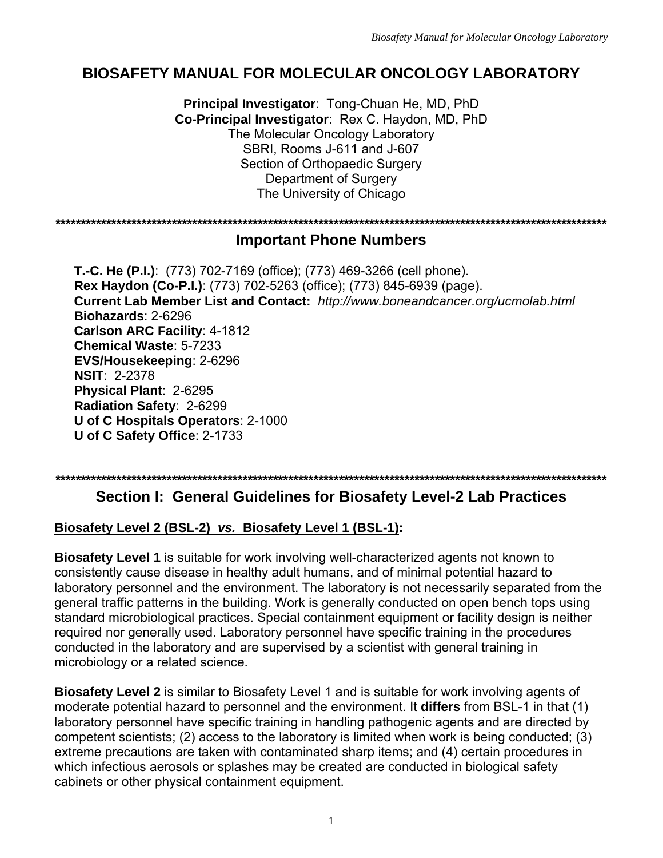# **BIOSAFETY MANUAL FOR MOLECULAR ONCOLOGY LABORATORY**

**Principal Investigator**: Tong-Chuan He, MD, PhD **Co-Principal Investigator**: Rex C. Haydon, MD, PhD The Molecular Oncology Laboratory SBRI, Rooms J-611 and J-607 Section of Orthopaedic Surgery Department of Surgery The University of Chicago

**\*\*\*\*\*\*\*\*\*\*\*\*\*\*\*\*\*\*\*\*\*\*\*\*\*\*\*\*\*\*\*\*\*\*\*\*\*\*\*\*\*\*\*\*\*\*\*\*\*\*\*\*\*\*\*\*\*\*\*\*\*\*\*\*\*\*\*\*\*\*\*\*\*\*\*\*\*\*\*\*\*\*\*\*\*\*\*\*\*\*\*\*\*\*\*\*\*\*\*\*\*\*\*\*\*\*\*\*\*** 

## **Important Phone Numbers**

**T.-C. He (P.I.)**: (773) 702-7169 (office); (773) 469-3266 (cell phone). **Rex Haydon (Co-P.I.)**: (773) 702-5263 (office); (773) 845-6939 (page). **Current Lab Member List and Contact:** *http://www.boneandcancer.org/ucmolab.html* **Biohazards**: 2-6296 **Carlson ARC Facility**: 4-1812 **Chemical Waste**: 5-7233 **EVS/Housekeeping**: 2-6296 **NSIT**: 2-2378 **Physical Plant**: 2-6295 **Radiation Safety**: 2-6299 **U of C Hospitals Operators**: 2-1000 **U of C Safety Office**: 2-1733

# **\*\*\*\*\*\*\*\*\*\*\*\*\*\*\*\*\*\*\*\*\*\*\*\*\*\*\*\*\*\*\*\*\*\*\*\*\*\*\*\*\*\*\*\*\*\*\*\*\*\*\*\*\*\*\*\*\*\*\*\*\*\*\*\*\*\*\*\*\*\*\*\*\*\*\*\*\*\*\*\*\*\*\*\*\*\*\*\*\*\*\*\*\*\*\*\*\*\*\*\*\*\*\*\*\*\*\*\*\***

## **Section I: General Guidelines for Biosafety Level-2 Lab Practices**

### **Biosafety Level 2 (BSL-2)** *vs.* **Biosafety Level 1 (BSL-1):**

**Biosafety Level 1** is suitable for work involving well-characterized agents not known to consistently cause disease in healthy adult humans, and of minimal potential hazard to laboratory personnel and the environment. The laboratory is not necessarily separated from the general traffic patterns in the building. Work is generally conducted on open bench tops using standard microbiological practices. Special containment equipment or facility design is neither required nor generally used. Laboratory personnel have specific training in the procedures conducted in the laboratory and are supervised by a scientist with general training in microbiology or a related science.

**Biosafety Level 2** is similar to Biosafety Level 1 and is suitable for work involving agents of moderate potential hazard to personnel and the environment. It **differs** from BSL-1 in that (1) laboratory personnel have specific training in handling pathogenic agents and are directed by competent scientists; (2) access to the laboratory is limited when work is being conducted; (3) extreme precautions are taken with contaminated sharp items; and (4) certain procedures in which infectious aerosols or splashes may be created are conducted in biological safety cabinets or other physical containment equipment.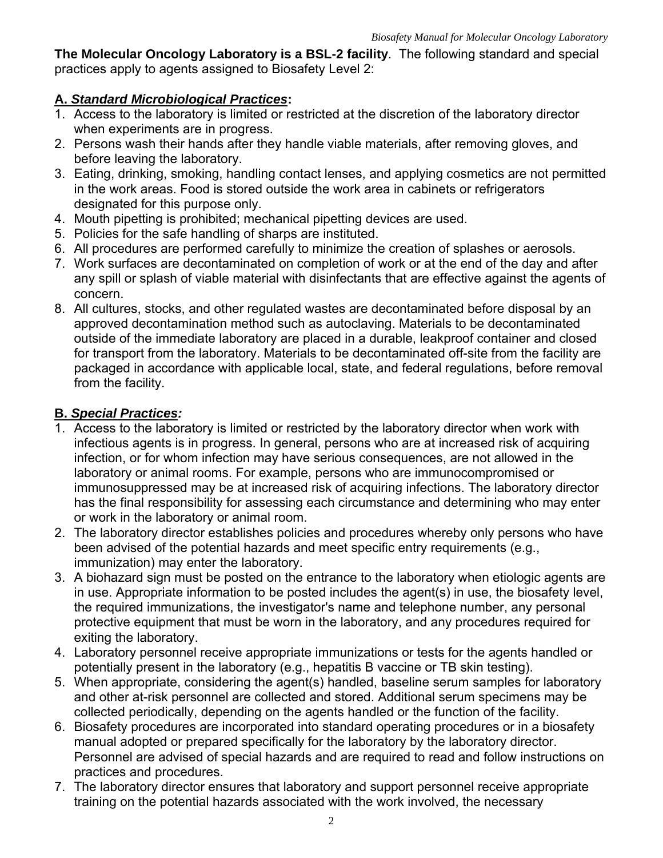**The Molecular Oncology Laboratory is a BSL-2 facility**. The following standard and special practices apply to agents assigned to Biosafety Level 2:

### **A.** *Standard Microbiological Practices***:**

- 1. Access to the laboratory is limited or restricted at the discretion of the laboratory director when experiments are in progress.
- 2. Persons wash their hands after they handle viable materials, after removing gloves, and before leaving the laboratory.
- 3. Eating, drinking, smoking, handling contact lenses, and applying cosmetics are not permitted in the work areas. Food is stored outside the work area in cabinets or refrigerators designated for this purpose only.
- 4. Mouth pipetting is prohibited; mechanical pipetting devices are used.
- 5. Policies for the safe handling of sharps are instituted.
- 6. All procedures are performed carefully to minimize the creation of splashes or aerosols.
- 7. Work surfaces are decontaminated on completion of work or at the end of the day and after any spill or splash of viable material with disinfectants that are effective against the agents of concern.
- 8. All cultures, stocks, and other regulated wastes are decontaminated before disposal by an approved decontamination method such as autoclaving. Materials to be decontaminated outside of the immediate laboratory are placed in a durable, leakproof container and closed for transport from the laboratory. Materials to be decontaminated off-site from the facility are packaged in accordance with applicable local, state, and federal regulations, before removal from the facility.

## **B.** *Special Practices:*

- 1. Access to the laboratory is limited or restricted by the laboratory director when work with infectious agents is in progress. In general, persons who are at increased risk of acquiring infection, or for whom infection may have serious consequences, are not allowed in the laboratory or animal rooms. For example, persons who are immunocompromised or immunosuppressed may be at increased risk of acquiring infections. The laboratory director has the final responsibility for assessing each circumstance and determining who may enter or work in the laboratory or animal room.
- 2. The laboratory director establishes policies and procedures whereby only persons who have been advised of the potential hazards and meet specific entry requirements (e.g., immunization) may enter the laboratory.
- 3. A biohazard sign must be posted on the entrance to the laboratory when etiologic agents are in use. Appropriate information to be posted includes the agent(s) in use, the biosafety level, the required immunizations, the investigator's name and telephone number, any personal protective equipment that must be worn in the laboratory, and any procedures required for exiting the laboratory.
- 4. Laboratory personnel receive appropriate immunizations or tests for the agents handled or potentially present in the laboratory (e.g., hepatitis B vaccine or TB skin testing).
- 5. When appropriate, considering the agent(s) handled, baseline serum samples for laboratory and other at-risk personnel are collected and stored. Additional serum specimens may be collected periodically, depending on the agents handled or the function of the facility.
- 6. Biosafety procedures are incorporated into standard operating procedures or in a biosafety manual adopted or prepared specifically for the laboratory by the laboratory director. Personnel are advised of special hazards and are required to read and follow instructions on practices and procedures.
- 7. The laboratory director ensures that laboratory and support personnel receive appropriate training on the potential hazards associated with the work involved, the necessary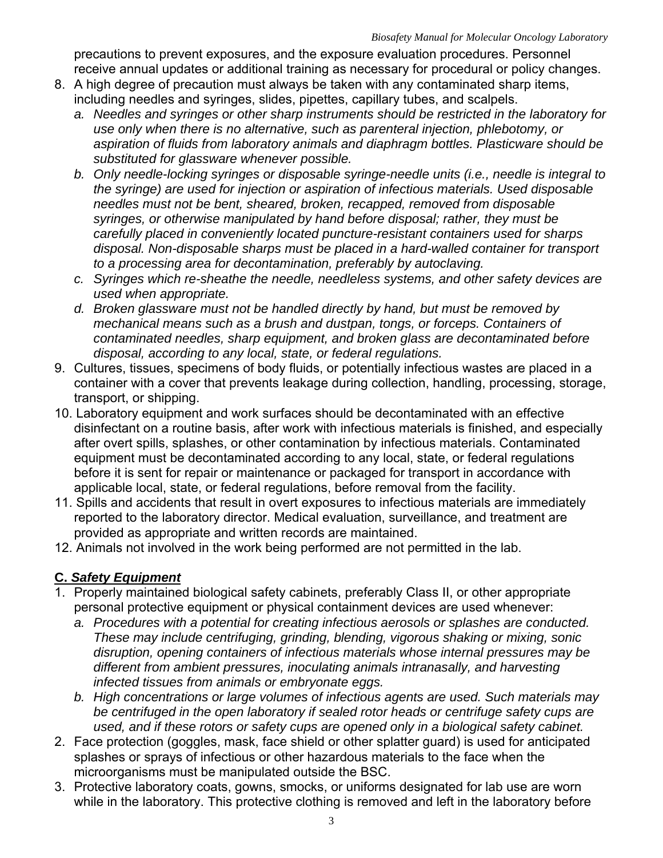precautions to prevent exposures, and the exposure evaluation procedures. Personnel receive annual updates or additional training as necessary for procedural or policy changes.

- 8. A high degree of precaution must always be taken with any contaminated sharp items, including needles and syringes, slides, pipettes, capillary tubes, and scalpels.
	- *a. Needles and syringes or other sharp instruments should be restricted in the laboratory for use only when there is no alternative, such as parenteral injection, phlebotomy, or aspiration of fluids from laboratory animals and diaphragm bottles. Plasticware should be substituted for glassware whenever possible.*
	- *b. Only needle-locking syringes or disposable syringe-needle units (i.e., needle is integral to the syringe) are used for injection or aspiration of infectious materials. Used disposable needles must not be bent, sheared, broken, recapped, removed from disposable syringes, or otherwise manipulated by hand before disposal; rather, they must be carefully placed in conveniently located puncture-resistant containers used for sharps disposal. Non-disposable sharps must be placed in a hard-walled container for transport to a processing area for decontamination, preferably by autoclaving.*
	- *c. Syringes which re-sheathe the needle, needleless systems, and other safety devices are used when appropriate.*
	- *d. Broken glassware must not be handled directly by hand, but must be removed by mechanical means such as a brush and dustpan, tongs, or forceps. Containers of contaminated needles, sharp equipment, and broken glass are decontaminated before disposal, according to any local, state, or federal regulations.*
- 9. Cultures, tissues, specimens of body fluids, or potentially infectious wastes are placed in a container with a cover that prevents leakage during collection, handling, processing, storage, transport, or shipping.
- 10. Laboratory equipment and work surfaces should be decontaminated with an effective disinfectant on a routine basis, after work with infectious materials is finished, and especially after overt spills, splashes, or other contamination by infectious materials. Contaminated equipment must be decontaminated according to any local, state, or federal regulations before it is sent for repair or maintenance or packaged for transport in accordance with applicable local, state, or federal regulations, before removal from the facility.
- 11. Spills and accidents that result in overt exposures to infectious materials are immediately reported to the laboratory director. Medical evaluation, surveillance, and treatment are provided as appropriate and written records are maintained.
- 12. Animals not involved in the work being performed are not permitted in the lab.

## **C.** *Safety Equipment*

- 1. Properly maintained biological safety cabinets, preferably Class II, or other appropriate personal protective equipment or physical containment devices are used whenever:
	- *a. Procedures with a potential for creating infectious aerosols or splashes are conducted. These may include centrifuging, grinding, blending, vigorous shaking or mixing, sonic disruption, opening containers of infectious materials whose internal pressures may be different from ambient pressures, inoculating animals intranasally, and harvesting infected tissues from animals or embryonate eggs.*
	- *b. High concentrations or large volumes of infectious agents are used. Such materials may be centrifuged in the open laboratory if sealed rotor heads or centrifuge safety cups are used, and if these rotors or safety cups are opened only in a biological safety cabinet.*
- 2. Face protection (goggles, mask, face shield or other splatter guard) is used for anticipated splashes or sprays of infectious or other hazardous materials to the face when the microorganisms must be manipulated outside the BSC.
- 3. Protective laboratory coats, gowns, smocks, or uniforms designated for lab use are worn while in the laboratory. This protective clothing is removed and left in the laboratory before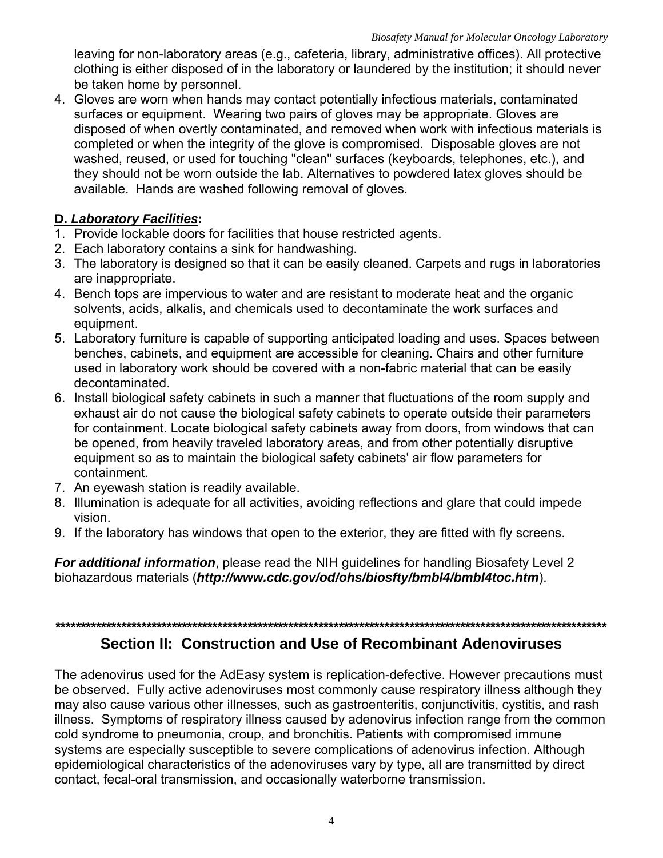leaving for non-laboratory areas (e.g., cafeteria, library, administrative offices). All protective clothing is either disposed of in the laboratory or laundered by the institution; it should never be taken home by personnel.

4. Gloves are worn when hands may contact potentially infectious materials, contaminated surfaces or equipment. Wearing two pairs of gloves may be appropriate. Gloves are disposed of when overtly contaminated, and removed when work with infectious materials is completed or when the integrity of the glove is compromised. Disposable gloves are not washed, reused, or used for touching "clean" surfaces (keyboards, telephones, etc.), and they should not be worn outside the lab. Alternatives to powdered latex gloves should be available. Hands are washed following removal of gloves.

## **D.** *Laboratory Facilities***:**

- 1. Provide lockable doors for facilities that house restricted agents.
- 2. Each laboratory contains a sink for handwashing.
- 3. The laboratory is designed so that it can be easily cleaned. Carpets and rugs in laboratories are inappropriate.
- 4. Bench tops are impervious to water and are resistant to moderate heat and the organic solvents, acids, alkalis, and chemicals used to decontaminate the work surfaces and equipment.
- 5. Laboratory furniture is capable of supporting anticipated loading and uses. Spaces between benches, cabinets, and equipment are accessible for cleaning. Chairs and other furniture used in laboratory work should be covered with a non-fabric material that can be easily decontaminated.
- 6. Install biological safety cabinets in such a manner that fluctuations of the room supply and exhaust air do not cause the biological safety cabinets to operate outside their parameters for containment. Locate biological safety cabinets away from doors, from windows that can be opened, from heavily traveled laboratory areas, and from other potentially disruptive equipment so as to maintain the biological safety cabinets' air flow parameters for containment.
- 7. An eyewash station is readily available.
- 8. Illumination is adequate for all activities, avoiding reflections and glare that could impede vision.
- 9. If the laboratory has windows that open to the exterior, they are fitted with fly screens.

*For additional information*, please read the NIH guidelines for handling Biosafety Level 2 biohazardous materials (*http://www.cdc.gov/od/ohs/biosfty/bmbl4/bmbl4toc.htm*).

### **\*\*\*\*\*\*\*\*\*\*\*\*\*\*\*\*\*\*\*\*\*\*\*\*\*\*\*\*\*\*\*\*\*\*\*\*\*\*\*\*\*\*\*\*\*\*\*\*\*\*\*\*\*\*\*\*\*\*\*\*\*\*\*\*\*\*\*\*\*\*\*\*\*\*\*\*\*\*\*\*\*\*\*\*\*\*\*\*\*\*\*\*\*\*\*\*\*\*\*\*\*\*\*\*\*\*\*\*\***

## **Section II: Construction and Use of Recombinant Adenoviruses**

The adenovirus used for the AdEasy system is replication-defective. However precautions must be observed. Fully active adenoviruses most commonly cause respiratory illness although they may also cause various other illnesses, such as gastroenteritis, conjunctivitis, cystitis, and rash illness. Symptoms of respiratory illness caused by adenovirus infection range from the common cold syndrome to pneumonia, croup, and bronchitis. Patients with compromised immune systems are especially susceptible to severe complications of adenovirus infection. Although epidemiological characteristics of the adenoviruses vary by type, all are transmitted by direct contact, fecal-oral transmission, and occasionally waterborne transmission.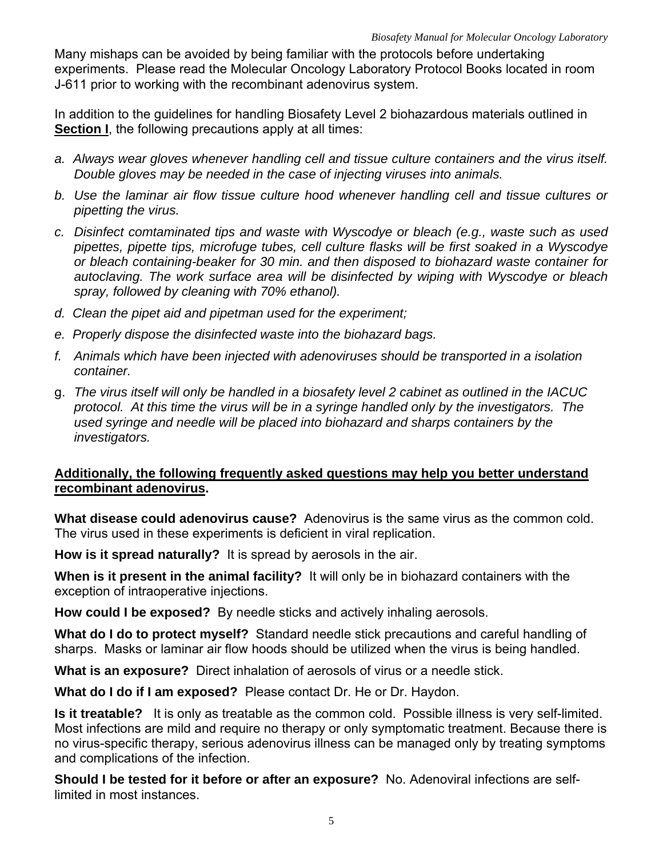Many mishaps can be avoided by being familiar with the protocols before undertaking experiments. Please read the Molecular Oncology Laboratory Protocol Books located in room J-611 prior to working with the recombinant adenovirus system.

In addition to the guidelines for handling Biosafety Level 2 biohazardous materials outlined in **Section I**, the following precautions apply at all times:

- *a. Always wear gloves whenever handling cell and tissue culture containers and the virus itself. Double gloves may be needed in the case of injecting viruses into animals.*
- *b. Use the laminar air flow tissue culture hood whenever handling cell and tissue cultures or pipetting the virus.*
- *c. Disinfect comtaminated tips and waste with Wyscodye or bleach (e.g., waste such as used pipettes, pipette tips, microfuge tubes, cell culture flasks will be first soaked in a Wyscodye or bleach containing-beaker for 30 min. and then disposed to biohazard waste container for autoclaving. The work surface area will be disinfected by wiping with Wyscodye or bleach spray, followed by cleaning with 70% ethanol).*
- *d. Clean the pipet aid and pipetman used for the experiment;*
- *e. Properly dispose the disinfected waste into the biohazard bags.*
- *f. Animals which have been injected with adenoviruses should be transported in a isolation container.*
- g. *The virus itself will only be handled in a biosafety level 2 cabinet as outlined in the IACUC protocol. At this time the virus will be in a syringe handled only by the investigators. The used syringe and needle will be placed into biohazard and sharps containers by the investigators.*

### **Additionally, the following frequently asked questions may help you better understand recombinant adenovirus.**

**What disease could adenovirus cause?** Adenovirus is the same virus as the common cold. The virus used in these experiments is deficient in viral replication.

**How is it spread naturally?** It is spread by aerosols in the air.

**When is it present in the animal facility?** It will only be in biohazard containers with the exception of intraoperative injections.

**How could I be exposed?** By needle sticks and actively inhaling aerosols.

**What do I do to protect myself?** Standard needle stick precautions and careful handling of sharps. Masks or laminar air flow hoods should be utilized when the virus is being handled.

**What is an exposure?** Direct inhalation of aerosols of virus or a needle stick.

**What do I do if I am exposed?** Please contact Dr. He or Dr. Haydon.

**Is it treatable?** It is only as treatable as the common cold. Possible illness is very self-limited. Most infections are mild and require no therapy or only symptomatic treatment. Because there is no virus-specific therapy, serious adenovirus illness can be managed only by treating symptoms and complications of the infection.

**Should I be tested for it before or after an exposure?** No. Adenoviral infections are selflimited in most instances.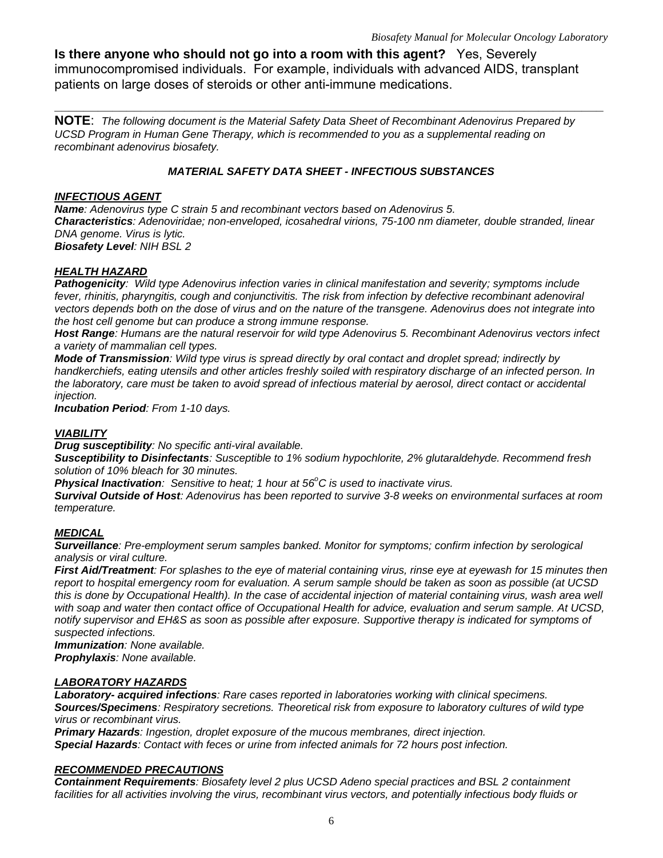**Is there anyone who should not go into a room with this agent?** Yes, Severely immunocompromised individuals. For example, individuals with advanced AIDS, transplant patients on large doses of steroids or other anti-immune medications.

**NOTE**: *The following document is the Material Safety Data Sheet of Recombinant Adenovirus Prepared by UCSD Program in Human Gene Therapy, which is recommended to you as a supplemental reading on recombinant adenovirus biosafety.*

#### *MATERIAL SAFETY DATA SHEET - INFECTIOUS SUBSTANCES*

**\_\_\_\_\_\_\_\_\_\_\_\_\_\_\_\_\_\_\_\_\_\_\_\_\_\_\_\_\_\_\_\_\_\_\_\_\_\_\_\_\_\_\_\_\_\_\_\_\_\_\_\_\_\_\_\_\_\_\_\_\_\_\_\_\_\_\_\_\_\_\_\_\_\_\_\_** 

#### *INFECTIOUS AGENT*

*Name: Adenovirus type C strain 5 and recombinant vectors based on Adenovirus 5. Characteristics: Adenoviridae; non-enveloped, icosahedral virions, 75-100 nm diameter, double stranded, linear DNA genome. Virus is lytic. Biosafety Level: NIH BSL 2* 

#### *HEALTH HAZARD*

*Pathogenicity: Wild type Adenovirus infection varies in clinical manifestation and severity; symptoms include*  fever, rhinitis, pharyngitis, cough and conjunctivitis. The risk from infection by defective recombinant adenoviral *vectors depends both on the dose of virus and on the nature of the transgene. Adenovirus does not integrate into the host cell genome but can produce a strong immune response.* 

*Host Range: Humans are the natural reservoir for wild type Adenovirus 5. Recombinant Adenovirus vectors infect a variety of mammalian cell types.* 

*Mode of Transmission: Wild type virus is spread directly by oral contact and droplet spread; indirectly by handkerchiefs, eating utensils and other articles freshly soiled with respiratory discharge of an infected person. In*  the laboratory, care must be taken to avoid spread of infectious material by aerosol, direct contact or accidental *injection.* 

*Incubation Period: From 1-10 days.* 

#### *VIABILITY*

*Drug susceptibility: No specific anti-viral available.* 

*Susceptibility to Disinfectants: Susceptible to 1% sodium hypochlorite, 2% glutaraldehyde. Recommend fresh solution of 10% bleach for 30 minutes.* 

**Physical Inactivation**: Sensitive to heat; 1 hour at 56<sup>°</sup>C is used to inactivate virus.

*Survival Outside of Host: Adenovirus has been reported to survive 3-8 weeks on environmental surfaces at room temperature.* 

#### *MEDICAL*

*Surveillance: Pre-employment serum samples banked. Monitor for symptoms; confirm infection by serological analysis or viral culture.* 

*First Aid/Treatment: For splashes to the eye of material containing virus, rinse eye at eyewash for 15 minutes then report to hospital emergency room for evaluation. A serum sample should be taken as soon as possible (at UCSD this is done by Occupational Health). In the case of accidental injection of material containing virus, wash area well with soap and water then contact office of Occupational Health for advice, evaluation and serum sample. At UCSD, notify supervisor and EH&S as soon as possible after exposure. Supportive therapy is indicated for symptoms of suspected infections.* 

*Immunization: None available. Prophylaxis: None available.* 

#### *LABORATORY HAZARDS*

*Laboratory- acquired infections: Rare cases reported in laboratories working with clinical specimens. Sources/Specimens: Respiratory secretions. Theoretical risk from exposure to laboratory cultures of wild type virus or recombinant virus.* 

*Primary Hazards: Ingestion, droplet exposure of the mucous membranes, direct injection. Special Hazards: Contact with feces or urine from infected animals for 72 hours post infection.* 

#### *RECOMMENDED PRECAUTIONS*

*Containment Requirements: Biosafety level 2 plus UCSD Adeno special practices and BSL 2 containment facilities for all activities involving the virus, recombinant virus vectors, and potentially infectious body fluids or*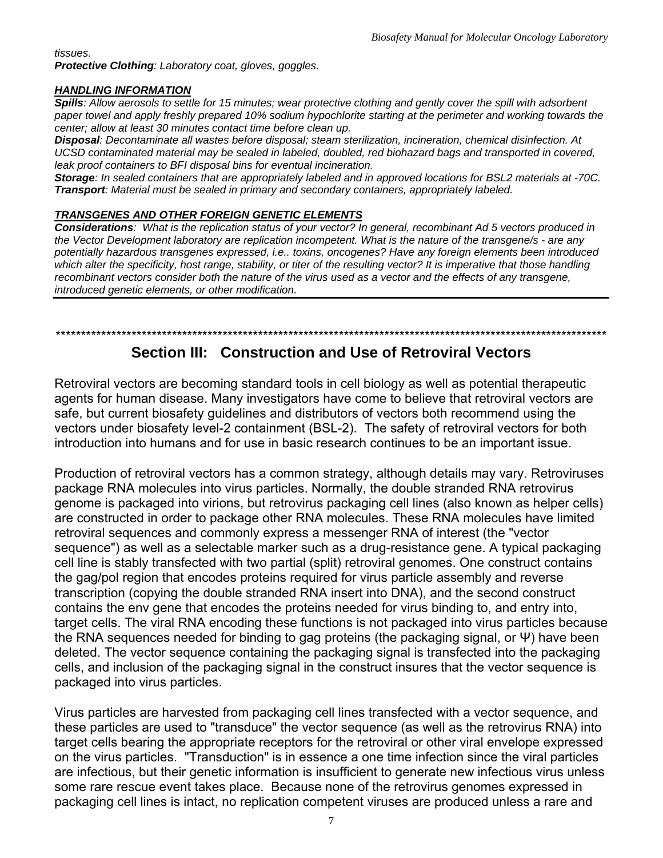#### *tissues.*

*Protective Clothing: Laboratory coat, gloves, goggles.* 

#### *HANDLING INFORMATION*

*Spills: Allow aerosols to settle for 15 minutes; wear protective clothing and gently cover the spill with adsorbent paper towel and apply freshly prepared 10% sodium hypochlorite starting at the perimeter and working towards the center; allow at least 30 minutes contact time before clean up.* 

*Disposal: Decontaminate all wastes before disposal; steam sterilization, incineration, chemical disinfection. At UCSD contaminated material may be sealed in labeled, doubled, red biohazard bags and transported in covered, leak proof containers to BFI disposal bins for eventual incineration.* 

*Storage: In sealed containers that are appropriately labeled and in approved locations for BSL2 materials at -70C. Transport: Material must be sealed in primary and secondary containers, appropriately labeled.* 

### *TRANSGENES AND OTHER FOREIGN GENETIC ELEMENTS*

*Considerations: What is the replication status of your vector? In general, recombinant Ad 5 vectors produced in the Vector Development laboratory are replication incompetent. What is the nature of the transgene/s - are any potentially hazardous transgenes expressed, i.e.. toxins, oncogenes? Have any foreign elements been introduced which alter the specificity, host range, stability, or titer of the resulting vector? It is imperative that those handling*  recombinant vectors consider both the nature of the virus used as a vector and the effects of any transgene, *introduced genetic elements, or other modification.* 

#### \*\*\*\*\*\*\*\*\*\*\*\*\*\*\*\*\*\*\*\*\*\*\*\*\*\*\*\*\*\*\*\*\*\*\*\*\*\*\*\*\*\*\*\*\*\*\*\*\*\*\*\*\*\*\*\*\*\*\*\*\*\*\*\*\*\*\*\*\*\*\*\*\*\*\*\*\*\*\*\*\*\*\*\*\*\*\*\*\*\*\*\*\*\*\*\*\*\*\*\*\*\*\*\*\*\*\*\*\* **Section III: Construction and Use of Retroviral Vectors**

Retroviral vectors are becoming standard tools in cell biology as well as potential therapeutic agents for human disease. Many investigators have come to believe that retroviral vectors are safe, but current biosafety guidelines and distributors of vectors both recommend using the vectors under biosafety level-2 containment (BSL-2). The safety of retroviral vectors for both introduction into humans and for use in basic research continues to be an important issue.

Production of retroviral vectors has a common strategy, although details may vary. Retroviruses package RNA molecules into virus particles. Normally, the double stranded RNA retrovirus genome is packaged into virions, but retrovirus packaging cell lines (also known as helper cells) are constructed in order to package other RNA molecules. These RNA molecules have limited retroviral sequences and commonly express a messenger RNA of interest (the "vector sequence") as well as a selectable marker such as a drug-resistance gene. A typical packaging cell line is stably transfected with two partial (split) retroviral genomes. One construct contains the gag/pol region that encodes proteins required for virus particle assembly and reverse transcription (copying the double stranded RNA insert into DNA), and the second construct contains the env gene that encodes the proteins needed for virus binding to, and entry into, target cells. The viral RNA encoding these functions is not packaged into virus particles because the RNA sequences needed for binding to gag proteins (the packaging signal, or Ψ) have been deleted. The vector sequence containing the packaging signal is transfected into the packaging cells, and inclusion of the packaging signal in the construct insures that the vector sequence is packaged into virus particles.

Virus particles are harvested from packaging cell lines transfected with a vector sequence, and these particles are used to "transduce" the vector sequence (as well as the retrovirus RNA) into target cells bearing the appropriate receptors for the retroviral or other viral envelope expressed on the virus particles. "Transduction" is in essence a one time infection since the viral particles are infectious, but their genetic information is insufficient to generate new infectious virus unless some rare rescue event takes place. Because none of the retrovirus genomes expressed in packaging cell lines is intact, no replication competent viruses are produced unless a rare and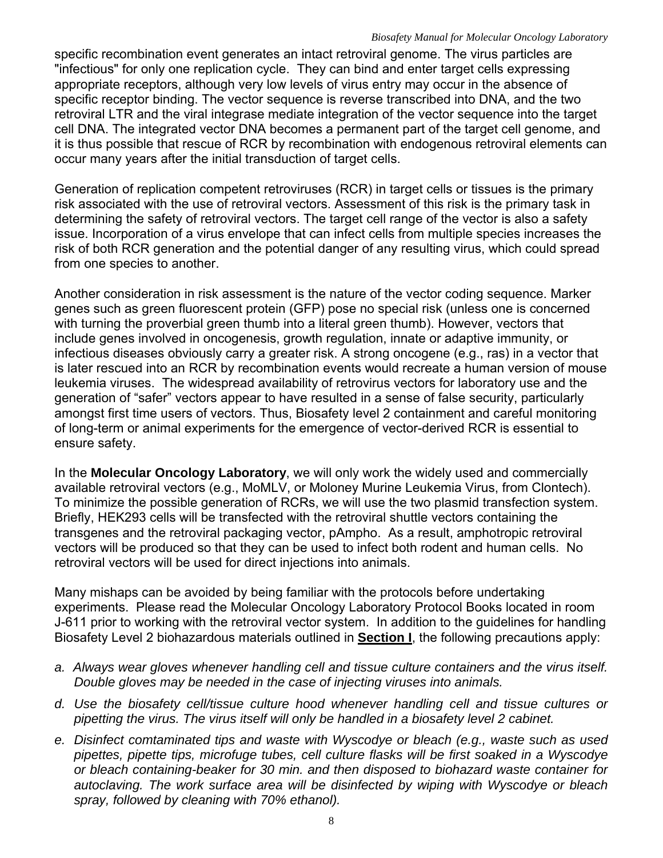#### *Biosafety Manual for Molecular Oncology Laboratory*

specific recombination event generates an intact retroviral genome. The virus particles are "infectious" for only one replication cycle. They can bind and enter target cells expressing appropriate receptors, although very low levels of virus entry may occur in the absence of specific receptor binding. The vector sequence is reverse transcribed into DNA, and the two retroviral LTR and the viral integrase mediate integration of the vector sequence into the target cell DNA. The integrated vector DNA becomes a permanent part of the target cell genome, and it is thus possible that rescue of RCR by recombination with endogenous retroviral elements can occur many years after the initial transduction of target cells.

Generation of replication competent retroviruses (RCR) in target cells or tissues is the primary risk associated with the use of retroviral vectors. Assessment of this risk is the primary task in determining the safety of retroviral vectors. The target cell range of the vector is also a safety issue. Incorporation of a virus envelope that can infect cells from multiple species increases the risk of both RCR generation and the potential danger of any resulting virus, which could spread from one species to another.

Another consideration in risk assessment is the nature of the vector coding sequence. Marker genes such as green fluorescent protein (GFP) pose no special risk (unless one is concerned with turning the proverbial green thumb into a literal green thumb). However, vectors that include genes involved in oncogenesis, growth regulation, innate or adaptive immunity, or infectious diseases obviously carry a greater risk. A strong oncogene (e.g., ras) in a vector that is later rescued into an RCR by recombination events would recreate a human version of mouse leukemia viruses. The widespread availability of retrovirus vectors for laboratory use and the generation of "safer" vectors appear to have resulted in a sense of false security, particularly amongst first time users of vectors. Thus, Biosafety level 2 containment and careful monitoring of long-term or animal experiments for the emergence of vector-derived RCR is essential to ensure safety.

In the **Molecular Oncology Laboratory**, we will only work the widely used and commercially available retroviral vectors (e.g., MoMLV, or Moloney Murine Leukemia Virus, from Clontech). To minimize the possible generation of RCRs, we will use the two plasmid transfection system. Briefly, HEK293 cells will be transfected with the retroviral shuttle vectors containing the transgenes and the retroviral packaging vector, pAmpho. As a result, amphotropic retroviral vectors will be produced so that they can be used to infect both rodent and human cells. No retroviral vectors will be used for direct injections into animals.

Many mishaps can be avoided by being familiar with the protocols before undertaking experiments. Please read the Molecular Oncology Laboratory Protocol Books located in room J-611 prior to working with the retroviral vector system. In addition to the guidelines for handling Biosafety Level 2 biohazardous materials outlined in **Section I**, the following precautions apply:

- *a. Always wear gloves whenever handling cell and tissue culture containers and the virus itself. Double gloves may be needed in the case of injecting viruses into animals.*
- *d. Use the biosafety cell/tissue culture hood whenever handling cell and tissue cultures or pipetting the virus. The virus itself will only be handled in a biosafety level 2 cabinet.*
- *e. Disinfect comtaminated tips and waste with Wyscodye or bleach (e.g., waste such as used pipettes, pipette tips, microfuge tubes, cell culture flasks will be first soaked in a Wyscodye or bleach containing-beaker for 30 min. and then disposed to biohazard waste container for autoclaving. The work surface area will be disinfected by wiping with Wyscodye or bleach spray, followed by cleaning with 70% ethanol).*